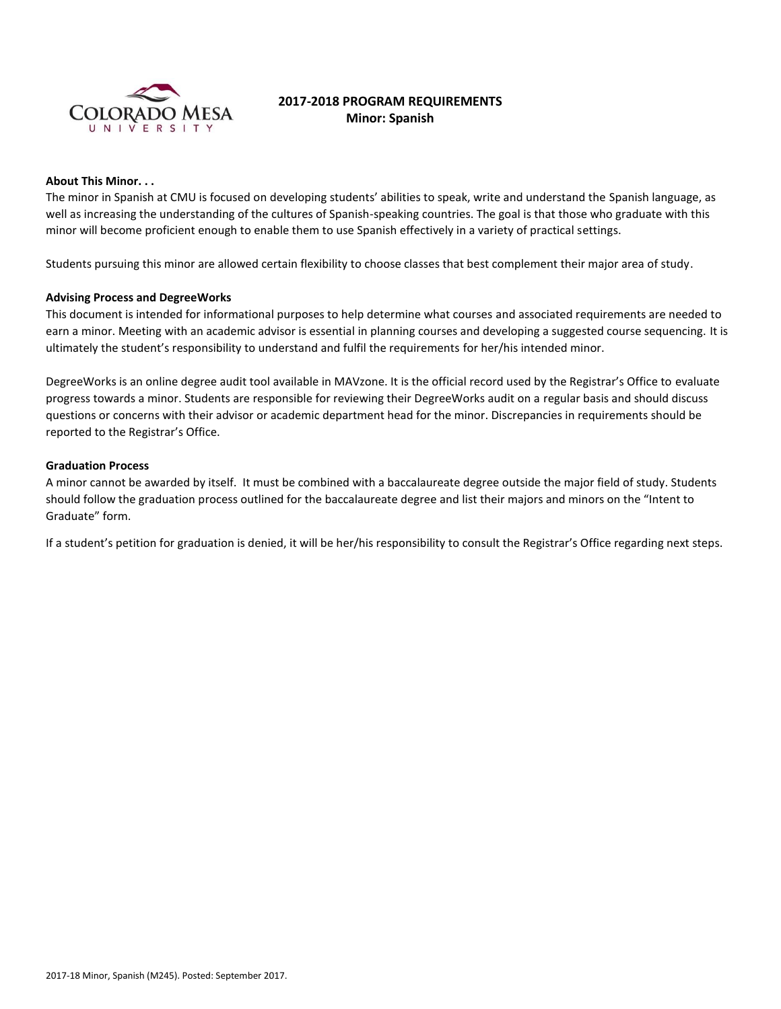

# **2017-2018 PROGRAM REQUIREMENTS Minor: Spanish**

#### **About This Minor. . .**

The minor in Spanish at CMU is focused on developing students' abilities to speak, write and understand the Spanish language, as well as increasing the understanding of the cultures of Spanish-speaking countries. The goal is that those who graduate with this minor will become proficient enough to enable them to use Spanish effectively in a variety of practical settings.

Students pursuing this minor are allowed certain flexibility to choose classes that best complement their major area of study.

### **Advising Process and DegreeWorks**

This document is intended for informational purposes to help determine what courses and associated requirements are needed to earn a minor. Meeting with an academic advisor is essential in planning courses and developing a suggested course sequencing. It is ultimately the student's responsibility to understand and fulfil the requirements for her/his intended minor.

DegreeWorks is an online degree audit tool available in MAVzone. It is the official record used by the Registrar's Office to evaluate progress towards a minor. Students are responsible for reviewing their DegreeWorks audit on a regular basis and should discuss questions or concerns with their advisor or academic department head for the minor. Discrepancies in requirements should be reported to the Registrar's Office.

### **Graduation Process**

A minor cannot be awarded by itself. It must be combined with a baccalaureate degree outside the major field of study. Students should follow the graduation process outlined for the baccalaureate degree and list their majors and minors on the "Intent to Graduate" form.

If a student's petition for graduation is denied, it will be her/his responsibility to consult the Registrar's Office regarding next steps.